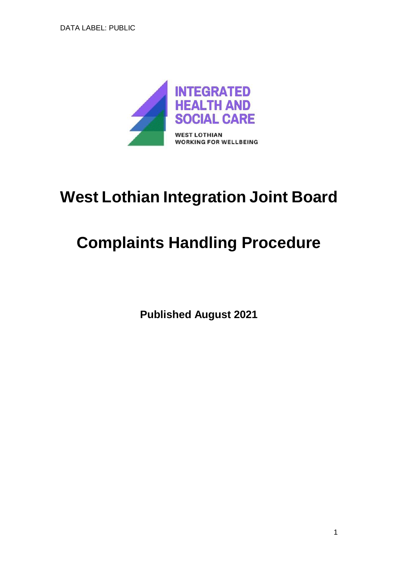

# **West Lothian Integration Joint Board**

# **Complaints Handling Procedure**

**Published August 2021**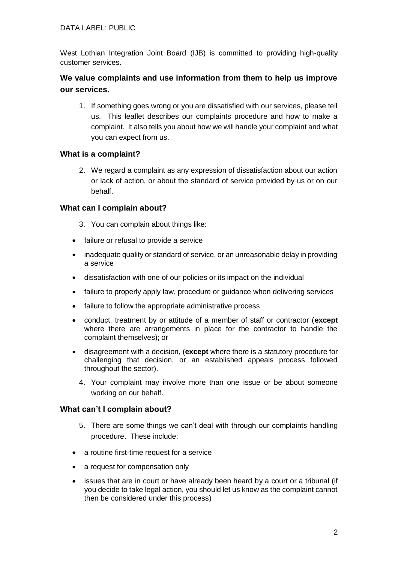## DATA LABEL: PUBLIC

West Lothian Integration Joint Board (IJB) is committed to providing high-quality customer services.

# **We value complaints and use information from them to help us improve our services.**

1. If something goes wrong or you are dissatisfied with our services, please tell us. This leaflet describes our complaints procedure and how to make a complaint. It also tells you about how we will handle your complaint and what you can expect from us.

## **What is a complaint?**

2. We regard a complaint as any expression of dissatisfaction about our action or lack of action, or about the standard of service provided by us or on our behalf.

## **What can I complain about?**

- 3. You can complain about things like:
- failure or refusal to provide a service
- inadequate quality or standard of service, or an unreasonable delay in providing a service
- dissatisfaction with one of our policies or its impact on the individual
- failure to properly apply law, procedure or guidance when delivering services
- failure to follow the appropriate administrative process
- conduct, treatment by or attitude of a member of staff or contractor (**except** where there are arrangements in place for the contractor to handle the complaint themselves); or
- disagreement with a decision, (**except** where there is a statutory procedure for challenging that decision, or an established appeals process followed throughout the sector).
	- 4. Your complaint may involve more than one issue or be about someone working on our behalf.

## **What can't I complain about?**

- 5. There are some things we can't deal with through our complaints handling procedure. These include:
- a routine first-time request for a service
- a request for compensation only
- issues that are in court or have already been heard by a court or a tribunal (if you decide to take legal action, you should let us know as the complaint cannot then be considered under this process)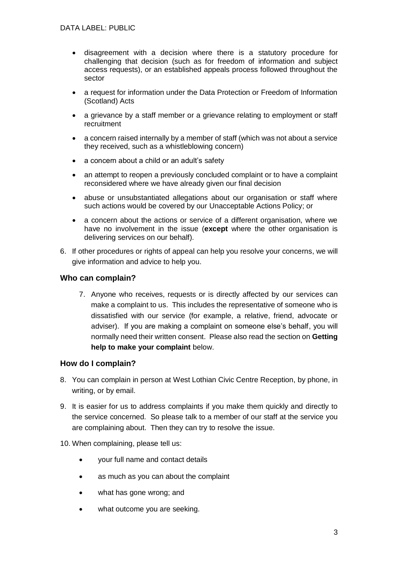- disagreement with a decision where there is a statutory procedure for challenging that decision (such as for freedom of information and subject access requests), or an established appeals process followed throughout the sector
- a request for information under the Data Protection or Freedom of Information (Scotland) Acts
- a grievance by a staff member or a grievance relating to employment or staff recruitment
- a concern raised internally by a member of staff (which was not about a service they received, such as a whistleblowing concern)
- a concern about a child or an adult's safety
- an attempt to reopen a previously concluded complaint or to have a complaint reconsidered where we have already given our final decision
- abuse or unsubstantiated allegations about our organisation or staff where such actions would be covered by our Unacceptable Actions Policy; or
- a concern about the actions or service of a different organisation, where we have no involvement in the issue (**except** where the other organisation is delivering services on our behalf).
- 6. If other procedures or rights of appeal can help you resolve your concerns, we will give information and advice to help you.

## **Who can complain?**

7. Anyone who receives, requests or is directly affected by our services can make a complaint to us. This includes the representative of someone who is dissatisfied with our service (for example, a relative, friend, advocate or adviser). If you are making a complaint on someone else's behalf, you will normally need their written consent. Please also read the section on **Getting help to make your complaint** below.

## **How do I complain?**

- 8. You can complain in person at West Lothian Civic Centre Reception, by phone, in writing, or by email.
- 9. It is easier for us to address complaints if you make them quickly and directly to the service concerned. So please talk to a member of our staff at the service you are complaining about. Then they can try to resolve the issue.

### 10. When complaining, please tell us:

- your full name and contact details
- as much as you can about the complaint
- what has gone wrong; and
- what outcome you are seeking.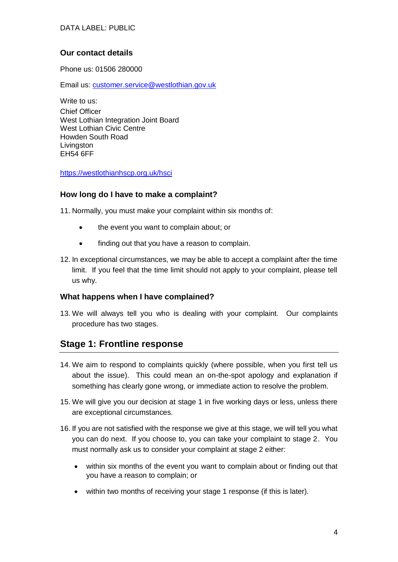## **Our contact details**

Phone us: 01506 280000

Email us: [customer.service@westlothian.gov.uk](mailto:customer.service@westlothian.gov.uk)

Write to us: Chief Officer West Lothian Integration Joint Board West Lothian Civic Centre Howden South Road **Livingston** EH54 6FF

<https://westlothianhscp.org.uk/hsci>

## **How long do I have to make a complaint?**

11. Normally, you must make your complaint within six months of:

- the event you want to complain about; or
- finding out that you have a reason to complain.
- 12. In exceptional circumstances, we may be able to accept a complaint after the time limit. If you feel that the time limit should not apply to your complaint, please tell us why.

### **What happens when I have complained?**

13. We will always tell you who is dealing with your complaint. Our complaints procedure has two stages.

# **Stage 1: Frontline response**

- 14. We aim to respond to complaints quickly (where possible, when you first tell us about the issue). This could mean an on-the-spot apology and explanation if something has clearly gone wrong, or immediate action to resolve the problem.
- 15. We will give you our decision at stage 1 in five working days or less, unless there are exceptional circumstances.
- 16. If you are not satisfied with the response we give at this stage, we will tell you what you can do next. If you choose to, you can take your complaint to stage 2. You must normally ask us to consider your complaint at stage 2 either:
	- within six months of the event you want to complain about or finding out that you have a reason to complain; or
	- within two months of receiving your stage 1 response (if this is later).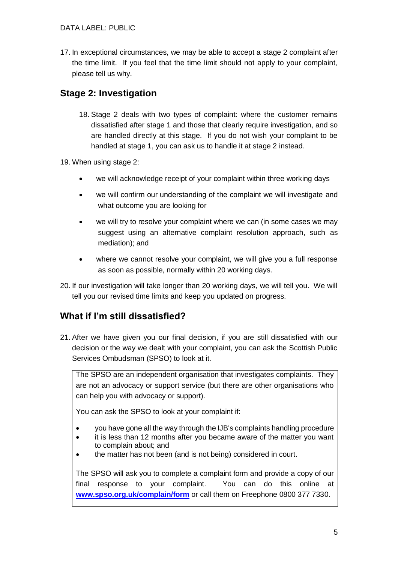17. In exceptional circumstances, we may be able to accept a stage 2 complaint after the time limit. If you feel that the time limit should not apply to your complaint, please tell us why.

# **Stage 2: Investigation**

18. Stage 2 deals with two types of complaint: where the customer remains dissatisfied after stage 1 and those that clearly require investigation, and so are handled directly at this stage. If you do not wish your complaint to be handled at stage 1, you can ask us to handle it at stage 2 instead.

19. When using stage 2:

- we will acknowledge receipt of your complaint within three working days
- we will confirm our understanding of the complaint we will investigate and what outcome you are looking for
- we will try to resolve your complaint where we can (in some cases we may suggest using an alternative complaint resolution approach, such as mediation); and
- where we cannot resolve your complaint, we will give you a full response as soon as possible, normally within 20 working days.
- 20. If our investigation will take longer than 20 working days, we will tell you. We will tell you our revised time limits and keep you updated on progress.

# **What if I'm still dissatisfied?**

21. After we have given you our final decision, if you are still dissatisfied with our decision or the way we dealt with your complaint, you can ask the Scottish Public Services Ombudsman (SPSO) to look at it.

The SPSO are an independent organisation that investigates complaints. They are not an advocacy or support service (but there are other organisations who can help you with advocacy or support).

You can ask the SPSO to look at your complaint if:

- you have gone all the way through the IJB's complaints handling procedure
- it is less than 12 months after you became aware of the matter you want to complain about; and
- the matter has not been (and is not being) considered in court.

The SPSO will ask you to complete a complaint form and provide a copy of our final response to your complaint. You can do this online at **[www.spso.org.uk/complain/form](http://www.spso.org.uk/complain/form)** or call them on Freephone 0800 377 7330.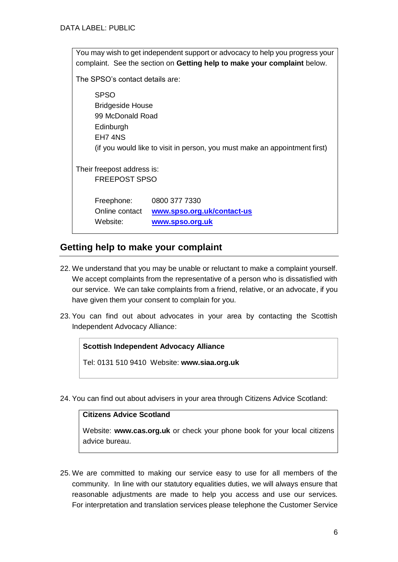| You may wish to get independent support or advocacy to help you progress your<br>complaint. See the section on Getting help to make your complaint below. |                                                                            |
|-----------------------------------------------------------------------------------------------------------------------------------------------------------|----------------------------------------------------------------------------|
| The SPSO's contact details are:                                                                                                                           |                                                                            |
| <b>SPSO</b><br><b>Bridgeside House</b><br>99 McDonald Road<br>Edinburgh<br>FH74NS                                                                         | (if you would like to visit in person, you must make an appointment first) |
| Their freepost address is:<br><b>FREEPOST SPSO</b>                                                                                                        |                                                                            |
| Freephone:<br>Online contact<br>Website:                                                                                                                  | 0800 377 7330<br>www.spso.org.uk/contact-us<br>www.spso.org.uk             |

# **Getting help to make your complaint**

- 22. We understand that you may be unable or reluctant to make a complaint yourself. We accept complaints from the representative of a person who is dissatisfied with our service. We can take complaints from a friend, relative, or an advocate, if you have given them your consent to complain for you.
- 23. You can find out about advocates in your area by contacting the Scottish Independent Advocacy Alliance:

## **Scottish Independent Advocacy Alliance**

Tel: 0131 510 9410 Website: **www.siaa.org.uk**

24. You can find out about advisers in your area through Citizens Advice Scotland:

### **Citizens Advice Scotland**

Website: **www.cas.org.uk** or check your phone book for your local citizens advice bureau.

25. We are committed to making our service easy to use for all members of the community. In line with our statutory equalities duties, we will always ensure that reasonable adjustments are made to help you access and use our services. For interpretation and translation services please telephone the Customer Service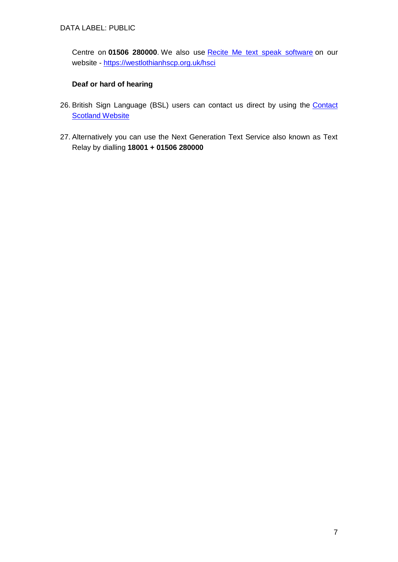Centre on **01506 280000**. We also use **[Recite Me text speak software](https://www.westlothian.gov.uk/accessibility)** on our website - <https://westlothianhscp.org.uk/hsci>

## **Deaf or hard of hearing**

- 26. British Sign Language (BSL) users can contact us direct by using the Contact **[Scotland Website](http://contactscotland-bsl.org/)**
- 27. Alternatively you can use the Next Generation Text Service also known as Text Relay by dialling **18001 + 01506 280000**